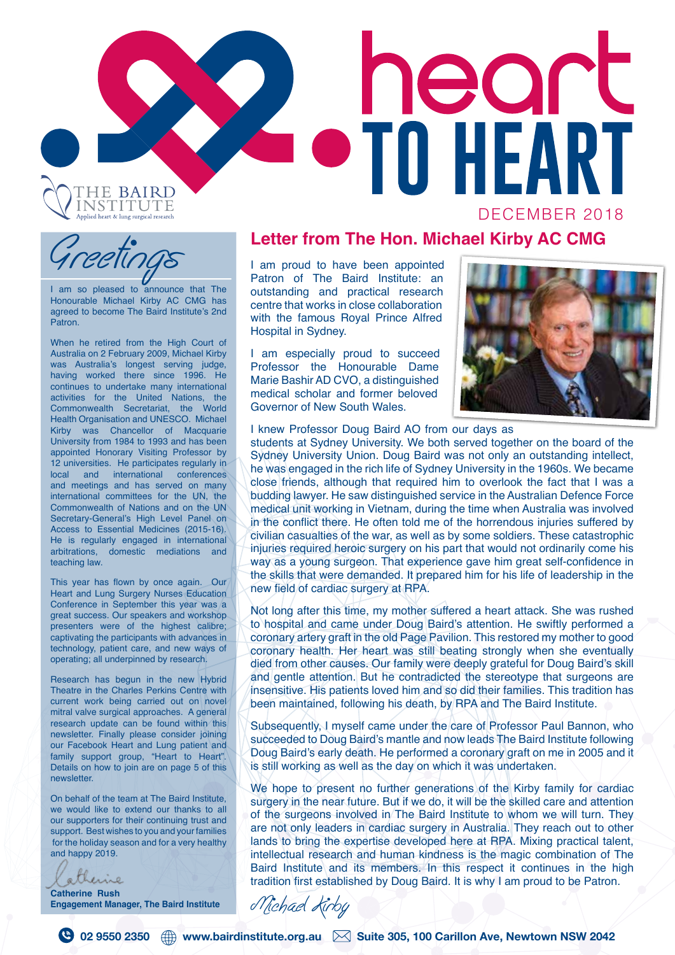**HE BAIRD INSTITUTE** 

I am so pleased to announce that The Honourable Michael Kirby AC CMG has agreed to become The Baird Institute's 2nd Patron.

When he retired from the High Court of Australia on 2 February 2009, Michael Kirby was Australia's longest serving judge, having worked there since 1996. He continues to undertake many international activities for the United Nations, the Commonwealth Secretariat, the World Health Organisation and UNESCO. Michael Kirby was Chancellor of Macquarie University from 1984 to 1993 and has been appointed Honorary Visiting Professor by 12 universities. He participates regularly in local and international conferences and meetings and has served on many international committees for the UN, the Commonwealth of Nations and on the UN Secretary-General's High Level Panel on Access to Essential Medicines (2015-16). He is regularly engaged in international arbitrations, domestic mediations and teaching law.

This year has flown by once again. Our Heart and Lung Surgery Nurses Education Conference in September this year was a great success. Our speakers and workshop presenters were of the highest calibre; captivating the participants with advances in technology, patient care, and new ways of operating; all underpinned by research.

Research has begun in the new Hybrid Theatre in the Charles Perkins Centre with current work being carried out on novel mitral valve surgical approaches. A general research update can be found within this newsletter. Finally please consider joining our Facebook Heart and Lung patient and family support group, "Heart to Heart". Details on how to join are on page 5 of this newsletter.

On behalf of the team at The Baird Institute, we would like to extend our thanks to all our supporters for their continuing trust and support. Best wishes to you and your families for the holiday season and for a very healthy and happy 2019.

therice **Catherine Rush**

**Engagement Manager, The Baird Institute**

#### **Letter from The Hon. Michael Kirby AC CMG**

eo

I am proud to have been appointed Patron of The Baird Institute: an outstanding and practical research centre that works in close collaboration with the famous Royal Prince Alfred Hospital in Sydney.

I am especially proud to succeed Professor the Honourable Dame Marie Bashir AD CVO, a distinguished medical scholar and former beloved Governor of New South Wales.



DECEMBER 2018

I knew Professor Doug Baird AO from our days as

students at Sydney University. We both served together on the board of the Sydney University Union. Doug Baird was not only an outstanding intellect, he was engaged in the rich life of Sydney University in the 1960s. We became close friends, although that required him to overlook the fact that I was a budding lawyer. He saw distinguished service in the Australian Defence Force medical unit working in Vietnam, during the time when Australia was involved in the confict there. He often told me of the horrendous injuries suffered by civilian casualties of the war, as well as by some soldiers. These catastrophic injuries required heroic surgery on his part that would not ordinarily come his way as a young surgeon. That experience gave him great self-confdence in the skills that were demanded. It prepared him for his life of leadership in the new field of cardiac surgery at RPA.

Not long after this time, my mother suffered a heart attack. She was rushed to hospital and came under Doug Baird's attention. He swiftly performed a coronary artery graft in the old Page Pavilion. This restored my mother to good coronary health. Her heart was still beating strongly when she eventually died from other causes. Our family were deeply grateful for Doug Baird's skill and gentle attention. But he contradicted the stereotype that surgeons are insensitive. His patients loved him and so did their families. This tradition has been maintained, following his death, by RPA and The Baird Institute.

Subsequently, I myself came under the care of Professor Paul Bannon, who succeeded to Doug Baird's mantle and now leads The Baird Institute following Doug Baird's early death. He performed a coronary graft on me in 2005 and it is still working as well as the day on which it was undertaken.

We hope to present no further generations of the Kirby family for cardiac surgery in the near future. But if we do, it will be the skilled care and attention of the surgeons involved in The Baird Institute to whom we will turn. They are not only leaders in cardiac surgery in Australia. They reach out to other lands to bring the expertise developed here at RPA. Mixing practical talent, intellectual research and human kindness is the magic combination of The Baird Institute and its members. In this respect it continues in the high tradition frst established by Doug Baird. It is why I am proud to be Patron.

Michael Kirby

**8** 02 9550 2350  $\oplus$  www.bairdinstitute.org.au  $\boxtimes$  Suite 305, 100 Carillon Ave, Newtown NSW 2042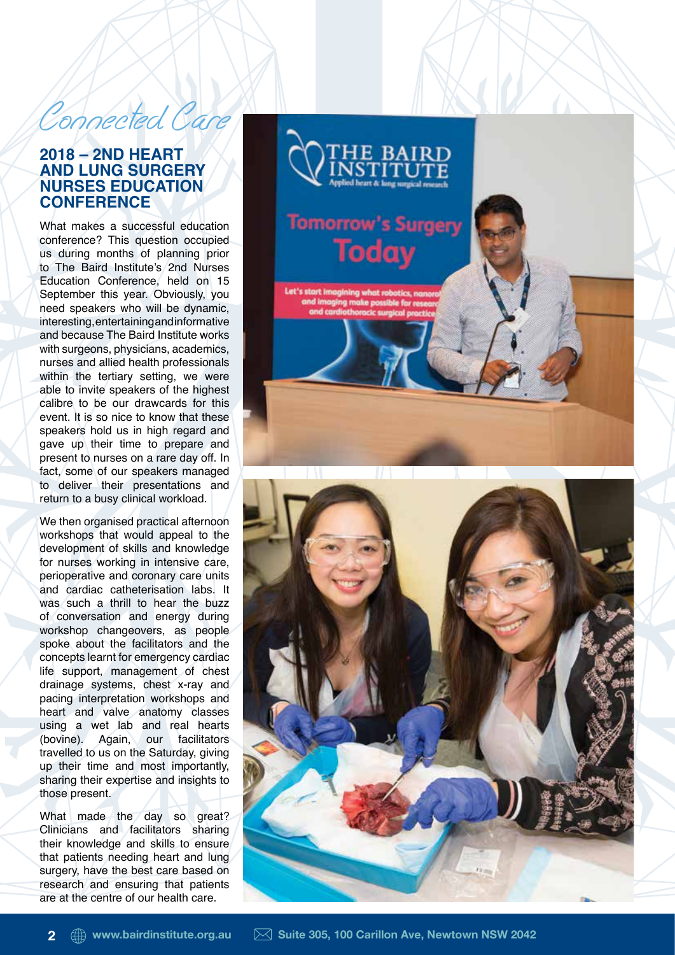# Connected Care

#### **2018 – 2ND HEART AND LUNG SURGERY NURSES EDUCATION CONFERENCE**

What makes a successful education conference? This question occupied us during months of planning prior to The Baird Institute's 2nd Nurses Education Conference, held on 15 September this year. Obviously, you need speakers who will be dynamic, interesting, entertaining and informative and because The Baird Institute works with surgeons, physicians, academics, nurses and allied health professionals within the tertiary setting, we were able to invite speakers of the highest calibre to be our drawcards for this event. It is so nice to know that these speakers hold us in high regard and gave up their time to prepare and present to nurses on a rare day off. In fact, some of our speakers managed to deliver their presentations and return to a busy clinical workload.

We then organised practical afternoon workshops that would appeal to the development of skills and knowledge for nurses working in intensive care, perioperative and coronary care units and cardiac catheterisation labs. It was such a thrill to hear the buzz of conversation and energy during workshop changeovers, as people spoke about the facilitators and the concepts learnt for emergency cardiac life support, management of chest drainage systems, chest x-ray and pacing interpretation workshops and heart and valve anatomy classes using a wet lab and real hearts (bovine). Again, our facilitators travelled to us on the Saturday, giving up their time and most importantly, sharing their expertise and insights to those present.

What made the day so great? Clinicians and facilitators sharing their knowledge and skills to ensure that patients needing heart and lung surgery, have the best care based on research and ensuring that patients are at the centre of our health care.

IE BAIRD **Tomorrow's Surgery Today** let's stort imov and imo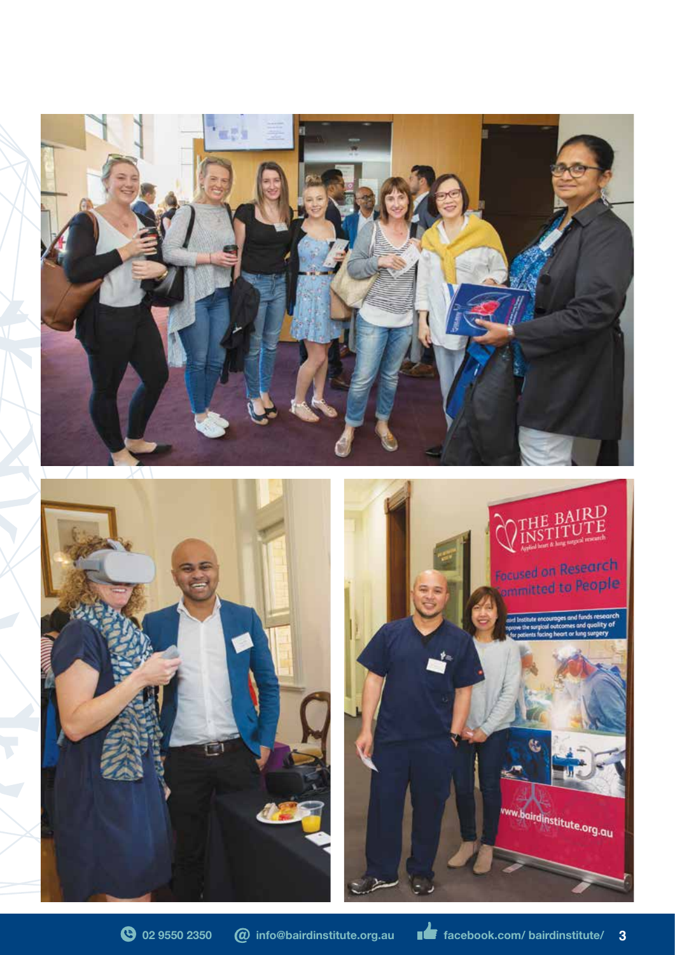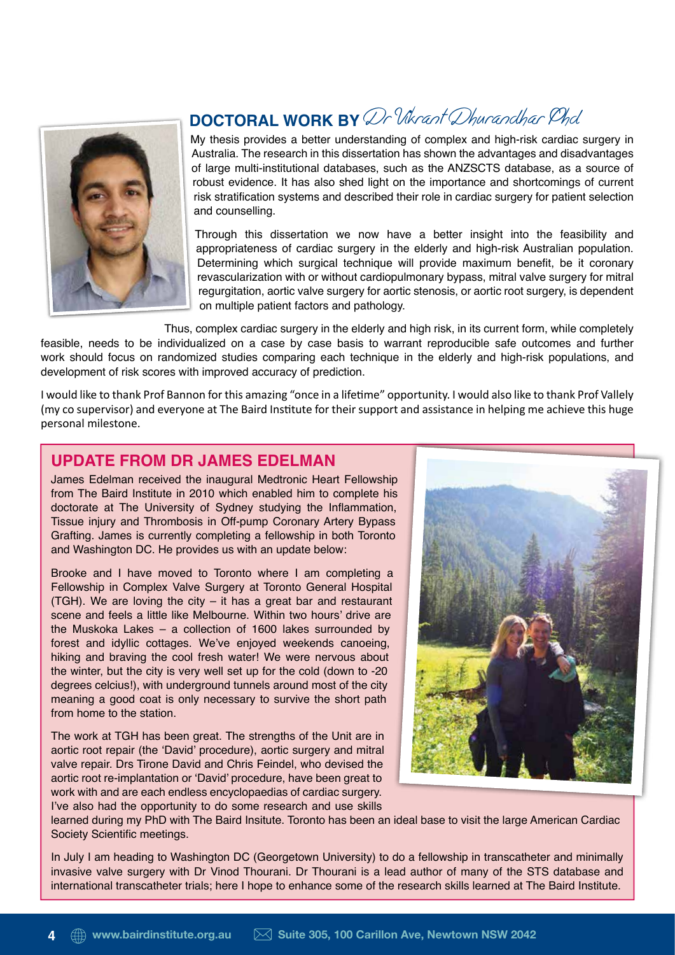

# **DOCTORAL WORK BY** Dr Vikrant Dhurandhar Phd

My thesis provides a better understanding of complex and high-risk cardiac surgery in Australia. The research in this dissertation has shown the advantages and disadvantages of large multi-institutional databases, such as the ANZSCTS database, as a source of robust evidence. It has also shed light on the importance and shortcomings of current risk stratifcation systems and described their role in cardiac surgery for patient selection and counselling.

Through this dissertation we now have a better insight into the feasibility and appropriateness of cardiac surgery in the elderly and high-risk Australian population. Determining which surgical technique will provide maximum benefit, be it coronary revascularization with or without cardiopulmonary bypass, mitral valve surgery for mitral regurgitation, aortic valve surgery for aortic stenosis, or aortic root surgery, is dependent on multiple patient factors and pathology.

Thus, complex cardiac surgery in the elderly and high risk, in its current form, while completely feasible, needs to be individualized on a case by case basis to warrant reproducible safe outcomes and further work should focus on randomized studies comparing each technique in the elderly and high-risk populations, and development of risk scores with improved accuracy of prediction.

I would like to thank Prof Bannon for this amazing "once in a lifetme" opportunity. I would also like to thank Prof Vallely (my co supervisor) and everyone at The Baird Insttute for their support and assistance in helping me achieve this huge personal milestone.

#### **UPDATE FROM DR JAMES EDELMAN**

James Edelman received the inaugural Medtronic Heart Fellowship from The Baird Institute in 2010 which enabled him to complete his doctorate at The University of Sydney studying the Inflammation, Tissue injury and Thrombosis in Off-pump Coronary Artery Bypass Grafting. James is currently completing a fellowship in both Toronto and Washington DC. He provides us with an update below:

Brooke and I have moved to Toronto where I am completing a Fellowship in Complex Valve Surgery at Toronto General Hospital (TGH). We are loving the city – it has a great bar and restaurant scene and feels a little like Melbourne. Within two hours' drive are the Muskoka Lakes – a collection of 1600 lakes surrounded by forest and idyllic cottages. We've enjoyed weekends canoeing, hiking and braving the cool fresh water! We were nervous about the winter, but the city is very well set up for the cold (down to -20 degrees celcius!), with underground tunnels around most of the city meaning a good coat is only necessary to survive the short path from home to the station.

The work at TGH has been great. The strengths of the Unit are in aortic root repair (the 'David' procedure), aortic surgery and mitral valve repair. Drs Tirone David and Chris Feindel, who devised the aortic root re-implantation or 'David' procedure, have been great to work with and are each endless encyclopaedias of cardiac surgery. I've also had the opportunity to do some research and use skills



learned during my PhD with The Baird Insitute. Toronto has been an ideal base to visit the large American Cardiac Society Scientific meetings.

In July I am heading to Washington DC (Georgetown University) to do a fellowship in transcatheter and minimally invasive valve surgery with Dr Vinod Thourani. Dr Thourani is a lead author of many of the STS database and international transcatheter trials; here I hope to enhance some of the research skills learned at The Baird Institute.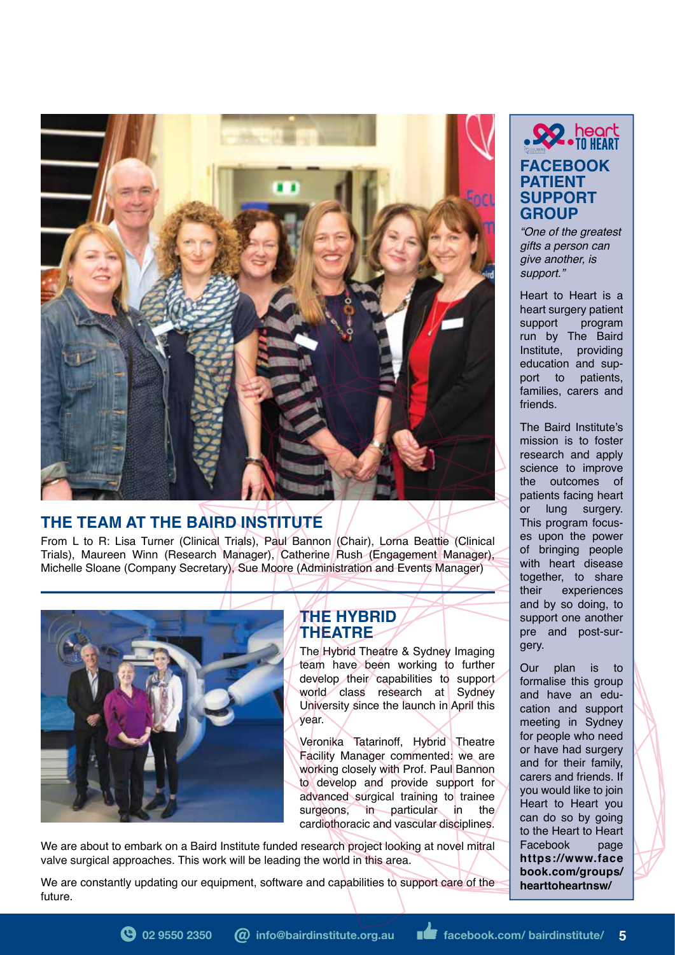

## **THE TEAM AT THE BAIRD INSTITUTE**

From L to R: Lisa Turner (Clinical Trials), Paul Bannon (Chair), Lorna Beattie (Clinical Trials), Maureen Winn (Research Manager), Catherine Rush (Engagement Manager), Michelle Sloane (Company Secretary), Sue Moore (Administration and Events Manager)



## **THE HYBRID THEATRE**

The Hybrid Theatre & Sydney Imaging team have been working to further develop their capabilities to support world class research at Sydney University since the launch in April this year.

Veronika Tatarinoff, Hybrid Theatre Facility Manager commented: we are working closely with Prof. Paul Bannon to develop and provide support for advanced surgical training to trainee surgeons, in particular in the cardiothoracic and vascular disciplines.

We are about to embark on a Baird Institute funded research project looking at novel mitral valve surgical approaches. This work will be leading the world in this area.

We are constantly updating our equipment, software and capabilities to support care of the future.

## heart **FACEBOOK PATIENT SUPPORT GROUP**

*"One of the greatest gifts a person can give another, is support."*

Heart to Heart is a heart surgery patient support program run by The Baird Institute, providing education and support to patients, families, carers and friends.

The Baird Institute's mission is to foster research and apply science to improve the outcomes of patients facing heart or lung surgery. This program focuses upon the power of bringing people with heart disease together, to share their experiences and by so doing, to support one another pre and post-surgery.

Our plan is to formalise this group and have an education and support meeting in Sydney for people who need or have had surgery and for their family, carers and friends. If you would like to join Heart to Heart you can do so by going to the Heart to Heart Facebook page **https://www.face book.com/groups/ hearttoheartnsw/**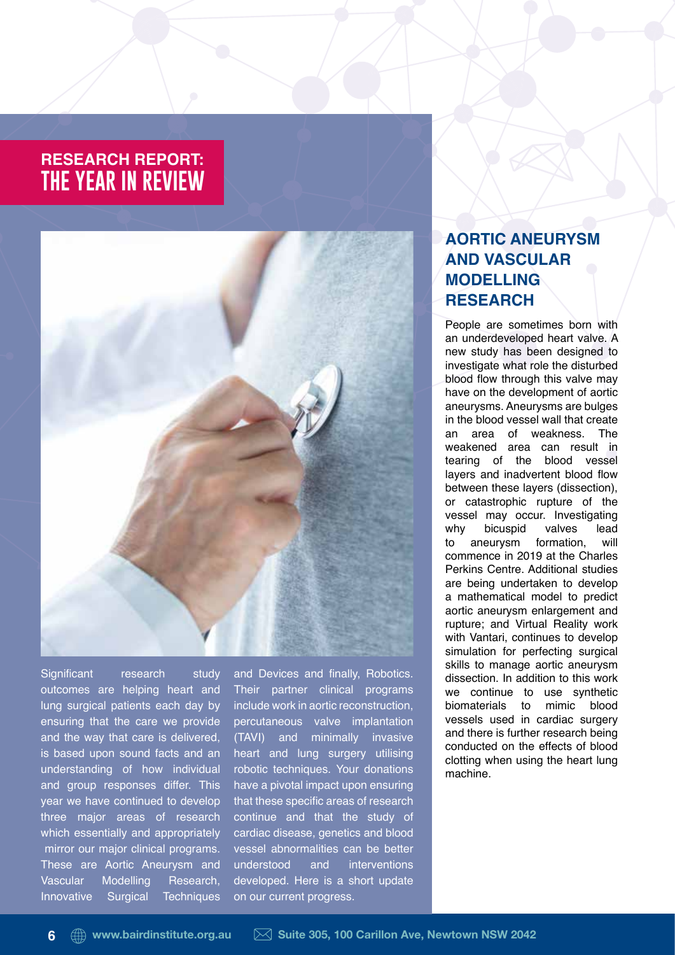## **RESEARCH REPORT: THE YEAR IN REVIEW**



Significant research study outcomes are helping heart and lung surgical patients each day by ensuring that the care we provide and the way that care is delivered, is based upon sound facts and an understanding of how individual and group responses differ. This year we have continued to develop three major areas of research which essentially and appropriately mirror our major clinical programs. These are Aortic Aneurysm and Vascular Modelling Research, Innovative Surgical Techniques

and Devices and finally, Robotics. Their partner clinical programs include work in aortic reconstruction, percutaneous valve implantation (TAVI) and minimally invasive heart and lung surgery utilising robotic techniques. Your donations have a pivotal impact upon ensuring that these specific areas of research continue and that the study of cardiac disease, genetics and blood vessel abnormalities can be better understood and interventions developed. Here is a short update on our current progress.

## **AORTIC ANEURYSM AND VASCULAR MODELLING RESEARCH**

People are sometimes born with an underdeveloped heart valve. A new study has been designed to investigate what role the disturbed blood flow through this valve may have on the development of aortic aneurysms. Aneurysms are bulges in the blood vessel wall that create an area of weakness. The weakened area can result in tearing of the blood vessel layers and inadvertent blood flow between these layers (dissection), or catastrophic rupture of the vessel may occur. Investigating why bicuspid valves lead to aneurysm formation, will commence in 2019 at the Charles Perkins Centre. Additional studies are being undertaken to develop a mathematical model to predict aortic aneurysm enlargement and rupture; and Virtual Reality work with Vantari, continues to develop simulation for perfecting surgical skills to manage aortic aneurysm dissection. In addition to this work we continue to use synthetic biomaterials to mimic blood vessels used in cardiac surgery and there is further research being conducted on the effects of blood clotting when using the heart lung machine.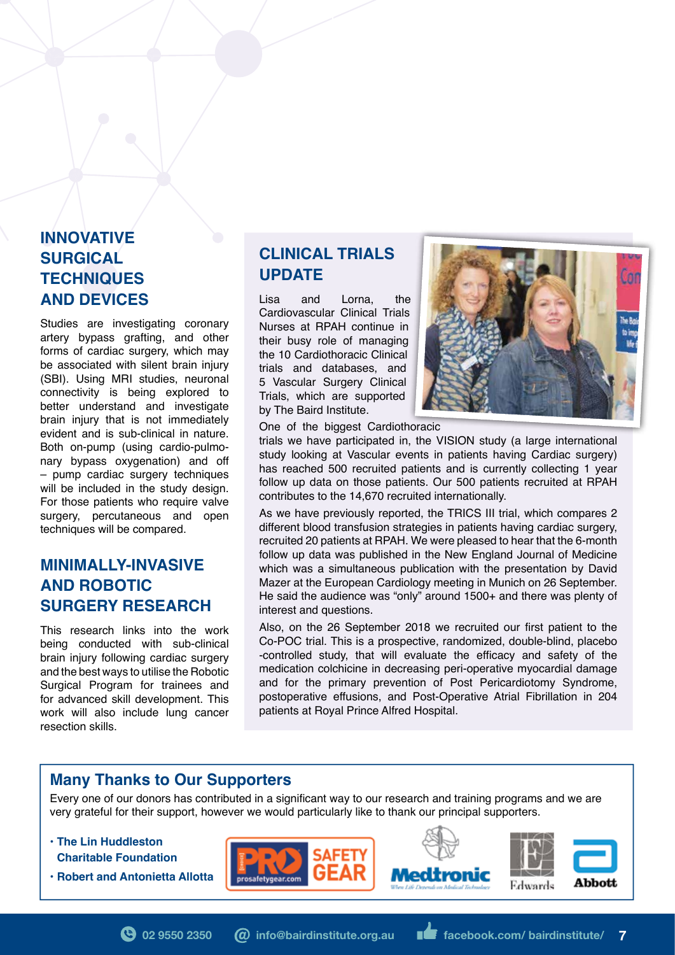## **INNOVATIVE SURGICAL TECHNIQUES AND DEVICES**

Studies are investigating coronary artery bypass grafting, and other forms of cardiac surgery, which may be associated with silent brain injury (SBI). Using MRI studies, neuronal connectivity is being explored to better understand and investigate brain injury that is not immediately evident and is sub-clinical in nature. Both on-pump (using cardio-pulmonary bypass oxygenation) and off – pump cardiac surgery techniques will be included in the study design. For those patients who require valve surgery, percutaneous and open techniques will be compared.

## **MINIMALLY-INVASIVE AND ROBOTIC SURGERY RESEARCH**

This research links into the work being conducted with sub-clinical brain injury following cardiac surgery and the best ways to utilise the Robotic Surgical Program for trainees and for advanced skill development. This work will also include lung cancer resection skills.

#### **CLINICAL TRIALS UPDATE**

Lisa and Lorna, the Cardiovascular Clinical Trials Nurses at RPAH continue in their busy role of managing the 10 Cardiothoracic Clinical trials and databases, and 5 Vascular Surgery Clinical Trials, which are supported by The Baird Institute.



One of the biggest Cardiothoracic

trials we have participated in, the VISION study (a large international study looking at Vascular events in patients having Cardiac surgery) has reached 500 recruited patients and is currently collecting 1 year follow up data on those patients. Our 500 patients recruited at RPAH contributes to the 14,670 recruited internationally.

As we have previously reported, the TRICS III trial, which compares 2 different blood transfusion strategies in patients having cardiac surgery, recruited 20 patients at RPAH. We were pleased to hear that the 6-month follow up data was published in the New England Journal of Medicine which was a simultaneous publication with the presentation by David Mazer at the European Cardiology meeting in Munich on 26 September. He said the audience was "only" around 1500+ and there was plenty of interest and questions.

Also, on the 26 September 2018 we recruited our first patient to the Co-POC trial. This is a prospective, randomized, double-blind, placebo -controlled study, that will evaluate the efficacy and safety of the medication colchicine in decreasing peri-operative myocardial damage and for the primary prevention of Post Pericardiotomy Syndrome, postoperative effusions, and Post-Operative Atrial Fibrillation in 204 patients at Royal Prince Alfred Hospital.

#### **Many Thanks to Our Supporters**

Every one of our donors has contributed in a signifcant way to our research and training programs and we are very grateful for their support, however we would particularly like to thank our principal supporters.

- **The Lin Huddleston Charitable Foundation**
- **Robert and Antonietta Allotta**